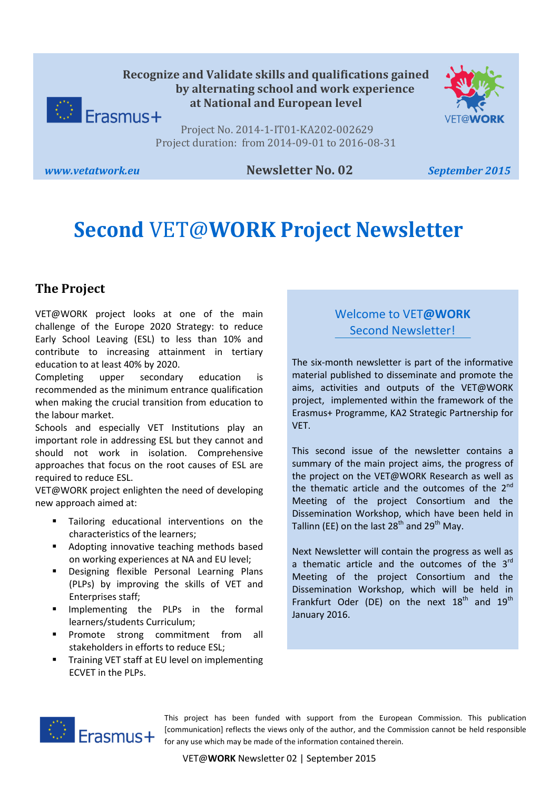

Project No. 2014-1-IT01-KA202-002629 Project duration: from 2014-09-01 to 2016-08-31

## *www.vetatwork.eu* **Newsletter No. 02** *September 2015*

# **Second** VET@**WORK Project Newsletter**

# **The Project**

VET@WORK project looks at one of the main challenge of the Europe 2020 Strategy: to reduce Early School Leaving (ESL) to less than 10% and contribute to increasing attainment in tertiary education to at least 40% by 2020.

Completing upper secondary education is recommended as the minimum entrance qualification when making the crucial transition from education to the labour market.

Schools and especially VET Institutions play an important role in addressing ESL but they cannot and should not work in isolation. Comprehensive approaches that focus on the root causes of ESL are required to reduce ESL.

VET@WORK project enlighten the need of developing new approach aimed at:

- **Tailoring educational interventions on the** characteristics of the learners;
- **Adopting innovative teaching methods based** on working experiences at NA and EU level;
- **Designing flexible Personal Learning Plans** (PLPs) by improving the skills of VET and Enterprises staff;
- **Implementing the PLPs in the formal** learners/students Curriculum;
- **Promote strong commitment from all** stakeholders in efforts to reduce ESL;
- **Training VET staff at EU level on implementing** ECVET in the PLPs.

# Welcome to VET**@WORK** Second Newsletter!

The six-month newsletter is part of the informative material published to disseminate and promote the aims, activities and outputs of the VET@WORK project, implemented within the framework of the Erasmus+ Programme, KA2 Strategic Partnership for VET.

This second issue of the newsletter contains a summary of the main project aims, the progress of the project on the VET@WORK Research as well as the thematic article and the outcomes of the  $2^{nd}$ Meeting of the project Consortium and the Dissemination Workshop, which have been held in Tallinn (EE) on the last  $28<sup>th</sup>$  and  $29<sup>th</sup>$  May.

Next Newsletter will contain the progress as well as a thematic article and the outcomes of the  $3^{rd}$ Meeting of the project Consortium and the Dissemination Workshop, which will be held in Frankfurt Oder (DE) on the next  $18^{th}$  and  $19^{th}$ January 2016.



This project has been funded with support from the European Commission. This publication [communication] reflects the views only of the author, and the Commission cannot be held responsible for any use which may be made of the information contained therein.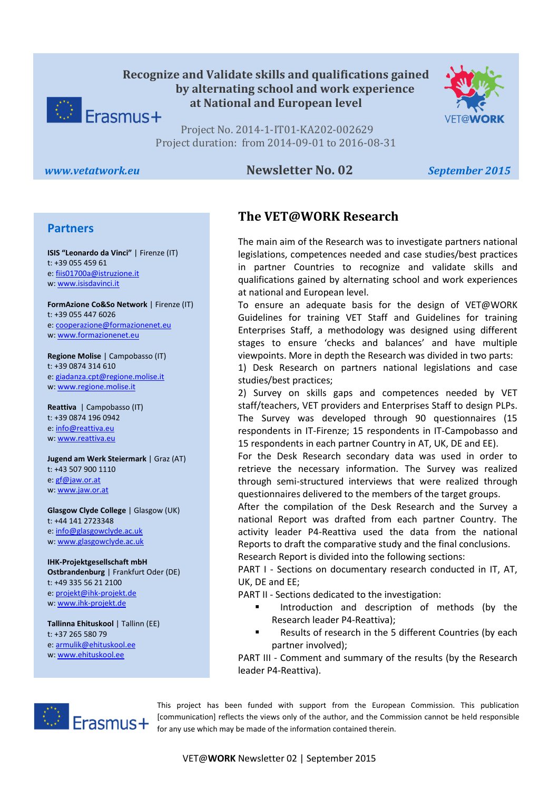



Project No. 2014-1-IT01-KA202-002629 Project duration: from 2014-09-01 to 2016-08-31

### *www.vetatwork.eu* **Newsletter No. 02** *September 2015*

#### **Partners**

w[: www.isisdavinci.it](http://www.isisdavinci.it/) **ISIS "Leonardo da Vinci"** | Firenze (IT) t: +39 055 459 61 e[: fiis01700a@istruzione.it](mailto:fiis01700a@istruzione.it)

**FormAzione Co&So Network** | Firenze (IT) t: +39 055 447 6026 e[: cooperazione@formazionenet.eu](mailto:cooperazione@formazionenet.eu) w[: www.formazionenet.eu](http://www.formazionenet.eu/)

**Regione Molise** | Campobasso (IT) t: +39 0874 314 610 e[: giadanza.cpt@regione.molise.it](mailto:giadanza.cpt@regione.molise.it) w[: www.regione.molise.it](http://www.regione.molise.it/)

**Reattiva** | Campobasso (IT) t: +39 0874 196 0942 e[: info@reattiva.eu](mailto:info@reattiva.eu) w[: www.reattiva.eu](http://www.reattiva.eu/)

**Jugend am Werk Steiermark** | Graz (AT) t: +43 507 900 1110 e[: gf@jaw.or.at](mailto:gf@jaw.or.at) w[: www.jaw.or.at](http://www.jaw.or.at/)

**Glasgow Clyde College** | Glasgow (UK) t: +44 141 2723348 e[: info@glasgowclyde.ac.uk](mailto:info@glasgowclyde.ac.uk) w[: www.glasgowclyde.ac.uk](http://www.glasgowclyde.ac.uk/) 

**IHK-Projektgesellschaft mbH Ostbrandenburg** | Frankfurt Oder (DE) t: +49 335 56 21 2100 e[: projekt@ihk-projekt.de](mailto:projekt@ihk-projekt.de) w[: www.ihk-projekt.de](http://www.ihk-projekt.de/)

**Tallinna Ehituskool** | Tallinn (EE) t: +37 265 580 79 e[: armulik@ehituskool.ee](mailto:armulik@ehituskool.ee) w[: www.ehituskool.ee](http://www.ehituskool.ee/)

# **The VET@WORK Research**

The main aim of the Research was to investigate partners national legislations, competences needed and case studies/best practices in partner Countries to recognize and validate skills and qualifications gained by alternating school and work experiences at national and European level.

To ensure an adequate basis for the design of VET@WORK Guidelines for training VET Staff and Guidelines for training Enterprises Staff, a methodology was designed using different stages to ensure 'checks and balances' and have multiple viewpoints. More in depth the Research was divided in two parts:

1) Desk Research on partners national legislations and case studies/best practices;

2) Survey on skills gaps and competences needed by VET staff/teachers, VET providers and Enterprises Staff to design PLPs. The Survey was developed through 90 questionnaires (15 respondents in IT-Firenze; 15 respondents in IT-Campobasso and 15 respondents in each partner Country in AT, UK, DE and EE).

For the Desk Research secondary data was used in order to retrieve the necessary information. The Survey was realized through semi-structured interviews that were realized through questionnaires delivered to the members of the target groups.

After the compilation of the Desk Research and the Survey a national Report was drafted from each partner Country. The activity leader P4-Reattiva used the data from the national Reports to draft the comparative study and the final conclusions. Research Report is divided into the following sections:

PART I - Sections on documentary research conducted in IT, AT, UK, DE and EE;

PART II - Sections dedicated to the investigation:

- **Introduction and description of methods (by the** Research leader P4-Reattiva);
- **Results of research in the 5 different Countries (by each** partner involved);

PART III - Comment and summary of the results (by the Research leader P4-Reattiva).



This project has been funded with support from the European Commission. This publication [communication] reflects the views only of the author, and the Commission cannot be held responsible for any use which may be made of the information contained therein.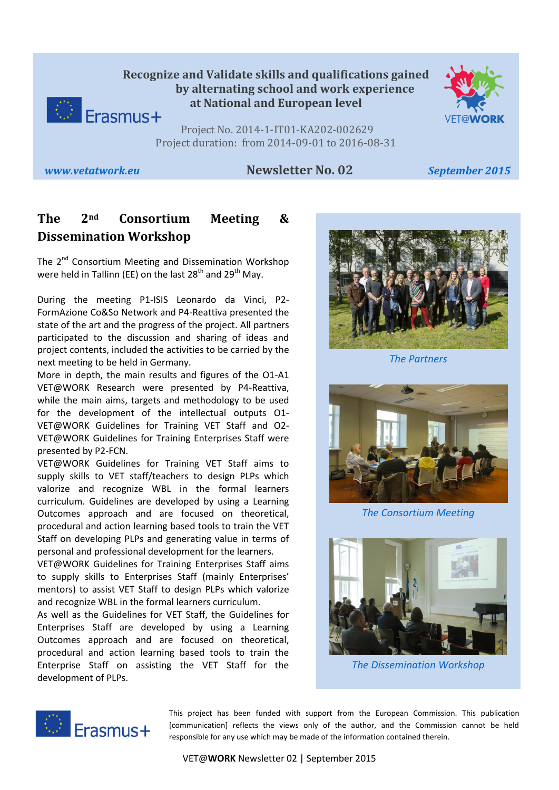**Recognize and Validate skills and qualifications gained by alternating school and work experience at National and European level**  $\bigcirc$  Erasmus+

Project No. 2014-1-IT01-KA202-002629 Project duration: from 2014-09-01 to 2016-08-31

## *www.vetatwork.eu* **Newsletter No. 02** *September 2015*

# **The 2nd Consortium Meeting & Dissemination Workshop**

The 2<sup>nd</sup> Consortium Meeting and Dissemination Workshop were held in Tallinn (EE) on the last  $28<sup>th</sup>$  and  $29<sup>th</sup>$  May.

During the meeting P1-ISIS Leonardo da Vinci, P2- FormAzione Co&So Network and P4-Reattiva presented the state of the art and the progress of the project. All partners participated to the discussion and sharing of ideas and project contents, included the activities to be carried by the next meeting to be held in Germany.

More in depth, the main results and figures of the O1-A1 VET@WORK Research were presented by P4-Reattiva, while the main aims, targets and methodology to be used for the development of the intellectual outputs O1- VET@WORK Guidelines for Training VET Staff and O2- VET@WORK Guidelines for Training Enterprises Staff were presented by P2-FCN.

VET@WORK Guidelines for Training VET Staff aims to supply skills to VET staff/teachers to design PLPs which valorize and recognize WBL in the formal learners curriculum. Guidelines are developed by using a Learning Outcomes approach and are focused on theoretical, procedural and action learning based tools to train the VET Staff on developing PLPs and generating value in terms of personal and professional development for the learners.

VET@WORK Guidelines for Training Enterprises Staff aims to supply skills to Enterprises Staff (mainly Enterprises' mentors) to assist VET Staff to design PLPs which valorize and recognize WBL in the formal learners curriculum.

As well as the Guidelines for VET Staff, the Guidelines for Enterprises Staff are developed by using a Learning Outcomes approach and are focused on theoretical, procedural and action learning based tools to train the Enterprise Staff on assisting the VET Staff for the development of PLPs.



*The Partners*



*The Consortium Meeting*



*The Dissemination Workshop*



This project has been funded with support from the European Commission. This publication [communication] reflects the views only of the author, and the Commission cannot be held responsible for any use which may be made of the information contained therein.